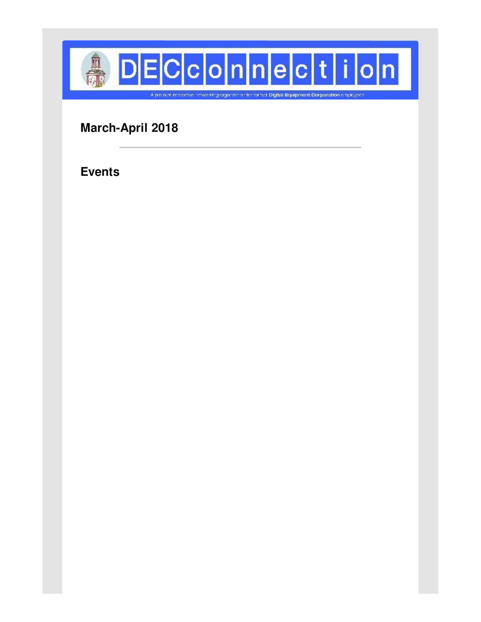

**March-April 2018**

**Events**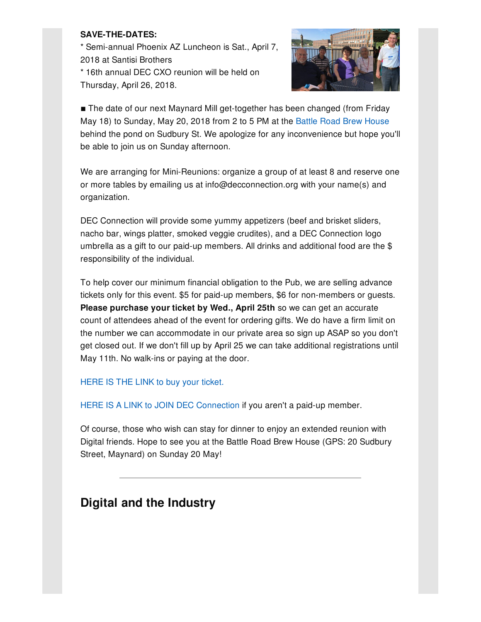### **SAVE-THE-DATES:**

\* Semi-annual Phoenix AZ Luncheon is Sat., April 7, 2018 at Santisi Brothers \* 16th annual DEC CXO reunion will be held on Thursday, April 26, 2018.



**The date of our next Maynard Mill get-together has been changed (from Friday** May 18) to Sunday, May 20, 2018 from 2 to 5 PM at the Battle Road Brew [House](http://www.battleroadbh.com/) behind the pond on Sudbury St. We apologize for any inconvenience but hope you'll be able to join us on Sunday afternoon.

We are arranging for Mini-Reunions: organize a group of at least 8 and reserve one or more tables by emailing us at info@decconnection.org with your name(s) and organization.

DEC Connection will provide some yummy appetizers (beef and brisket sliders, nacho bar, wings platter, smoked veggie crudites), and a DEC Connection logo umbrella as a gift to our paid-up members. All drinks and additional food are the \$ responsibility of the individual.

To help cover our minimum financial obligation to the Pub, we are selling advance tickets only for this event. \$5 for paid-up members, \$6 for non-members or guests. **Please purchase your ticket by Wed., April 25th** so we can get an accurate count of attendees ahead of the event for ordering gifts. We do have a firm limit on the number we can accommodate in our private area so sign up ASAP so you don't get closed out. If we don't fill up by April 25 we can take additional registrations until May 11th. No walk-ins or paying at the door.

[HERE](http://www.decconnection.org/tickets-MillPub-May18.php) IS THE LINK to buy your ticket.

HERE IS A LINK to JOIN DEC [Connection](http://www.decconnection.org/join-online.htm) if you aren't a paid-up member.

Of course, those who wish can stay for dinner to enjoy an extended reunion with Digital friends. Hope to see you at the Battle Road Brew House (GPS: 20 Sudbury Street, Maynard) on Sunday 20 May!

## **Digital and the Industry**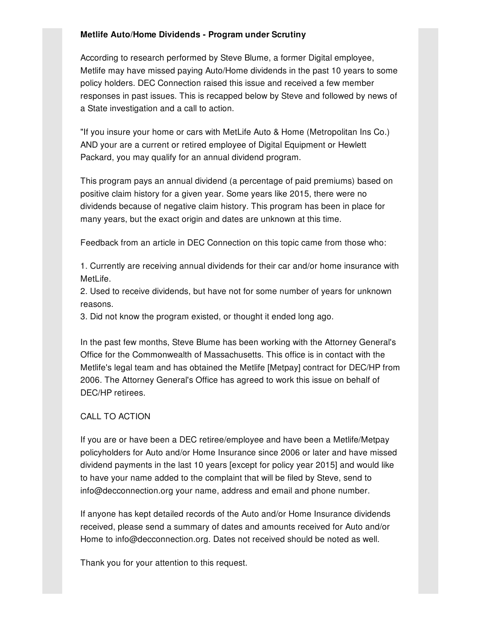#### **Metlife Auto/Home Dividends - Program under Scrutiny**

According to research performed by Steve Blume, a former Digital employee, Metlife may have missed paying Auto/Home dividends in the past 10 years to some policy holders. DEC Connection raised this issue and received a few member responses in past issues. This is recapped below by Steve and followed by news of a State investigation and a call to action.

"If you insure your home or cars with MetLife Auto & Home (Metropolitan Ins Co.) AND your are a current or retired employee of Digital Equipment or Hewlett Packard, you may qualify for an annual dividend program.

This program pays an annual dividend (a percentage of paid premiums) based on positive claim history for a given year. Some years like 2015, there were no dividends because of negative claim history. This program has been in place for many years, but the exact origin and dates are unknown at this time.

Feedback from an article in DEC Connection on this topic came from those who:

1. Currently are receiving annual dividends for their car and/or home insurance with MetLife.

2. Used to receive dividends, but have not for some number of years for unknown reasons.

3. Did not know the program existed, or thought it ended long ago.

In the past few months, Steve Blume has been working with the Attorney General's Office for the Commonwealth of Massachusetts. This office is in contact with the Metlife's legal team and has obtained the Metlife [Metpay] contract for DEC/HP from 2006. The Attorney General's Office has agreed to work this issue on behalf of DEC/HP retirees.

### CALL TO ACTION

If you are or have been a DEC retiree/employee and have been a Metlife/Metpay policyholders for Auto and/or Home Insurance since 2006 or later and have missed dividend payments in the last 10 years [except for policy year 2015] and would like to have your name added to the complaint that will be filed by Steve, send to info@decconnection.org your name, address and email and phone number.

If anyone has kept detailed records of the Auto and/or Home Insurance dividends received, please send a summary of dates and amounts received for Auto and/or Home to info@decconnection.org. Dates not received should be noted as well.

Thank you for your attention to this request.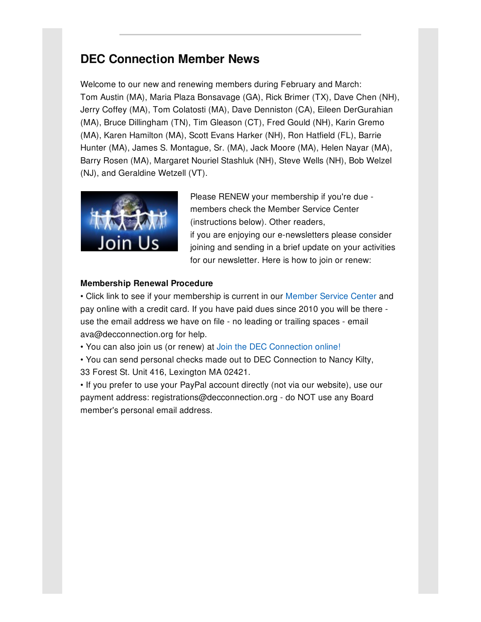# **DEC Connection Member News**

Welcome to our new and renewing members during February and March: Tom Austin (MA), Maria Plaza Bonsavage (GA), Rick Brimer (TX), Dave Chen (NH), Jerry Coffey (MA), Tom Colatosti (MA), Dave Denniston (CA), Eileen DerGurahian (MA), Bruce Dillingham (TN), Tim Gleason (CT), Fred Gould (NH), Karin Gremo (MA), Karen Hamilton (MA), Scott Evans Harker (NH), Ron Hatfield (FL), Barrie Hunter (MA), James S. Montague, Sr. (MA), Jack Moore (MA), Helen Nayar (MA), Barry Rosen (MA), Margaret Nouriel Stashluk (NH), Steve Wells (NH), Bob Welzel (NJ), and Geraldine Wetzell (VT).



Please RENEW your membership if you're due members check the Member Service Center (instructions below). Other readers, if you are enjoying our e-newsletters please consider joining and sending in a brief update on your activities for our newsletter. Here is how to join or renew:

### **Membership Renewal Procedure**

• Click link to see if your membership is current in our [Member](http://www.decconnection.org/msclogin.php) Service Center and pay online with a credit card. If you have paid dues since 2010 you will be there use the email address we have on file - no leading or trailing spaces - email ava@decconnection.org for help.

• You can also join us (or renew) at Join the DEC [Connection](http://www.decconnection.org/join-online.htm) online!

• You can send personal checks made out to DEC Connection to Nancy Kilty, 33 Forest St. Unit 416, Lexington MA 02421.

• If you prefer to use your PayPal account directly (not via our website), use our payment address: registrations@decconnection.org - do NOT use any Board member's personal email address.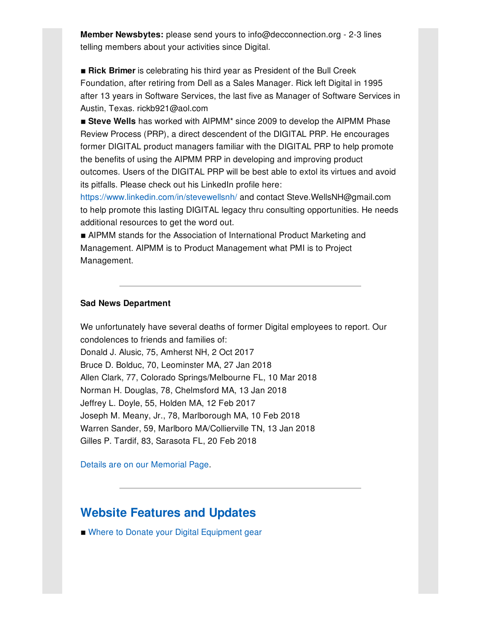**Member Newsbytes:** please send yours to info@decconnection.org - 2-3 lines telling members about your activities since Digital.

**Example: Rick Brimer** is celebrating his third year as President of the Bull Creek Foundation, after retiring from Dell as a Sales Manager. Rick left Digital in 1995 after 13 years in Software Services, the last five as Manager of Software Services in Austin, Texas. rickb921@aol.com

**Example 2009** Steve Wells has worked with AIPMM<sup>\*</sup> since 2009 to develop the AIPMM Phase Review Process (PRP), a direct descendent of the DIGITAL PRP. He encourages former DIGITAL product managers familiar with the DIGITAL PRP to help promote the benefits of using the AIPMM PRP in developing and improving product outcomes. Users of the DIGITAL PRP will be best able to extol its virtues and avoid its pitfalls. Please check out his LinkedIn profile here:

<https://www.linkedin.com/in/stevewellsnh/> and contact Steve.WellsNH@gmail.com to help promote this lasting DIGITAL legacy thru consulting opportunities. He needs additional resources to get the word out.

■ AIPMM stands for the Association of International Product Marketing and Management. AIPMM is to Product Management what PMI is to Project Management.

#### **Sad News Department**

We unfortunately have several deaths of former Digital employees to report. Our condolences to friends and families of: Donald J. Alusic, 75, Amherst NH, 2 Oct 2017 Bruce D. Bolduc, 70, Leominster MA, 27 Jan 2018 Allen Clark, 77, Colorado Springs/Melbourne FL, 10 Mar 2018 Norman H. Douglas, 78, Chelmsford MA, 13 Jan 2018 Jeffrey L. Doyle, 55, Holden MA, 12 Feb 2017 Joseph M. Meany, Jr., 78, Marlborough MA, 10 Feb 2018 Warren Sander, 59, Marlboro MA/Collierville TN, 13 Jan 2018 Gilles P. Tardif, 83, Sarasota FL, 20 Feb 2018

Details are on our [Memorial](http://www.decconnection.org/memorials.htm) Page.

### **Website [Features](http://www.decconnection.org) and Updates**

■ Where to Donate your Digital [Equipment](http://www.decconnection.org/DECdonations.htm) gear